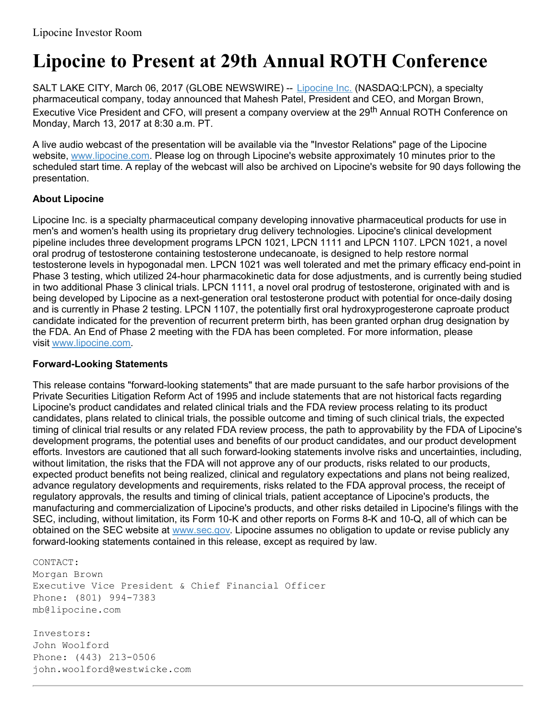## **Lipocine to Present at 29th Annual ROTH Conference**

SALT LAKE CITY, March 06, 2017 (GLOBE NEWSWIRE) -- [Lipocine](https://www.globenewswire.com/Tracker?data=Gx75zdlQRkl7xyZGhWoC3UO8Ys6eVOUfH5eImKCRS8Zp8nFnFGnvYMuMh9DHf-A2xZZADIdbxV3OvRWUYTDpfg==) Inc. (NASDAQ:LPCN), a specialty pharmaceutical company, today announced that Mahesh Patel, President and CEO, and Morgan Brown, Executive Vice President and CFO, will present a company overview at the 29<sup>th</sup> Annual ROTH Conference on Monday, March 13, 2017 at 8:30 a.m. PT.

A live audio webcast of the presentation will be available via the "Investor Relations" page of the Lipocine website, [www.lipocine.com](https://www.globenewswire.com/Tracker?data=5VrFg-VdUicbUf_YGjleaDzAWGL424xUH9-HIJLAS3uBBMdfQV111_dxhRNxeTk8HKADTHeEOGXnC7ssMeIXWQ==). Please log on through Lipocine's website approximately 10 minutes prior to the scheduled start time. A replay of the webcast will also be archived on Lipocine's website for 90 days following the presentation.

## **About Lipocine**

Lipocine Inc. is a specialty pharmaceutical company developing innovative pharmaceutical products for use in men's and women's health using its proprietary drug delivery technologies. Lipocine's clinical development pipeline includes three development programs LPCN 1021, LPCN 1111 and LPCN 1107. LPCN 1021, a novel oral prodrug of testosterone containing testosterone undecanoate, is designed to help restore normal testosterone levels in hypogonadal men. LPCN 1021 was well tolerated and met the primary efficacy end-point in Phase 3 testing, which utilized 24-hour pharmacokinetic data for dose adjustments, and is currently being studied in two additional Phase 3 clinical trials. LPCN 1111, a novel oral prodrug of testosterone, originated with and is being developed by Lipocine as a next-generation oral testosterone product with potential for once-daily dosing and is currently in Phase 2 testing. LPCN 1107, the potentially first oral hydroxyprogesterone caproate product candidate indicated for the prevention of recurrent preterm birth, has been granted orphan drug designation by the FDA. An End of Phase 2 meeting with the FDA has been completed. For more information, please visit [www.lipocine.com](https://www.globenewswire.com/Tracker?data=5VrFg-VdUicbUf_YGjleaGZbZeo9f20UXMaA_VMVOFp-Ip_Xsm5_r2SIvY0aQU1kQXqekE5Uj5JwINuxr6MbwA==).

## **Forward-Looking Statements**

This release contains "forward-looking statements" that are made pursuant to the safe harbor provisions of the Private Securities Litigation Reform Act of 1995 and include statements that are not historical facts regarding Lipocine's product candidates and related clinical trials and the FDA review process relating to its product candidates, plans related to clinical trials, the possible outcome and timing of such clinical trials, the expected timing of clinical trial results or any related FDA review process, the path to approvability by the FDA of Lipocine's development programs, the potential uses and benefits of our product candidates, and our product development efforts. Investors are cautioned that all such forward-looking statements involve risks and uncertainties, including, without limitation, the risks that the FDA will not approve any of our products, risks related to our products, expected product benefits not being realized, clinical and regulatory expectations and plans not being realized, advance regulatory developments and requirements, risks related to the FDA approval process, the receipt of regulatory approvals, the results and timing of clinical trials, patient acceptance of Lipocine's products, the manufacturing and commercialization of Lipocine's products, and other risks detailed in Lipocine's filings with the SEC, including, without limitation, its Form 10-K and other reports on Forms 8-K and 10-Q, all of which can be obtained on the SEC website at [www.sec.gov](https://www.globenewswire.com/Tracker?data=vhGNcUBGMZILmqzp0KBvUYYbvhMhR_CrBfegtVBUIr1mI3HmLSz_A1QD15r0Xq_eWVjPzI9PGUd-W0bh-2pKgw==). Lipocine assumes no obligation to update or revise publicly any forward-looking statements contained in this release, except as required by law.

CONTACT:

Morgan Brown Executive Vice President & Chief Financial Officer Phone: (801) 994-7383 mb@lipocine.com

Investors: John Woolford Phone: (443) 213-0506 john.woolford@westwicke.com